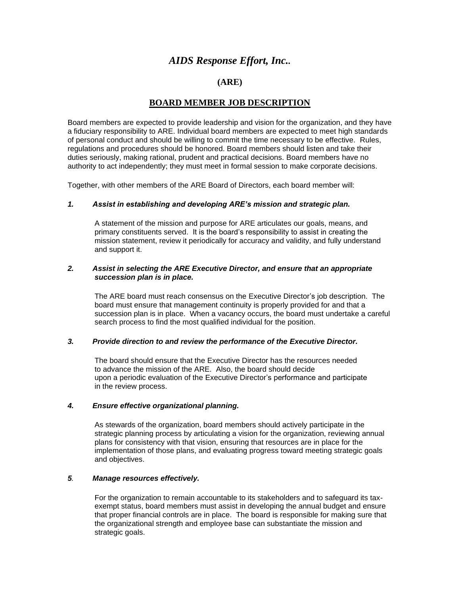# *AIDS Response Effort, Inc..*

# **(ARE)**

# **BOARD MEMBER JOB DESCRIPTION**

Board members are expected to provide leadership and vision for the organization, and they have a fiduciary responsibility to ARE. Individual board members are expected to meet high standards of personal conduct and should be willing to commit the time necessary to be effective. Rules, regulations and procedures should be honored. Board members should listen and take their duties seriously, making rational, prudent and practical decisions. Board members have no authority to act independently; they must meet in formal session to make corporate decisions.

Together, with other members of the ARE Board of Directors, each board member will:

## *1. Assist in establishing and developing ARE's mission and strategic plan.*

A statement of the mission and purpose for ARE articulates our goals, means, and primary constituents served. It is the board's responsibility to assist in creating the mission statement, review it periodically for accuracy and validity, and fully understand and support it.

## *2. Assist in selecting the ARE Executive Director, and ensure that an appropriate succession plan is in place.*

The ARE board must reach consensus on the Executive Director's job description. The board must ensure that management continuity is properly provided for and that a succession plan is in place. When a vacancy occurs, the board must undertake a careful search process to find the most qualified individual for the position.

#### *3. Provide direction to and review the performance of the Executive Director.*

The board should ensure that the Executive Director has the resources needed to advance the mission of the ARE. Also, the board should decide upon a periodic evaluation of the Executive Director's performance and participate in the review process.

# *4. Ensure effective organizational planning.*

As stewards of the organization, board members should actively participate in the strategic planning process by articulating a vision for the organization, reviewing annual plans for consistency with that vision, ensuring that resources are in place for the implementation of those plans, and evaluating progress toward meeting strategic goals and objectives.

#### *5. Manage resources effectively.*

For the organization to remain accountable to its stakeholders and to safeguard its taxexempt status, board members must assist in developing the annual budget and ensure that proper financial controls are in place. The board is responsible for making sure that the organizational strength and employee base can substantiate the mission and strategic goals.